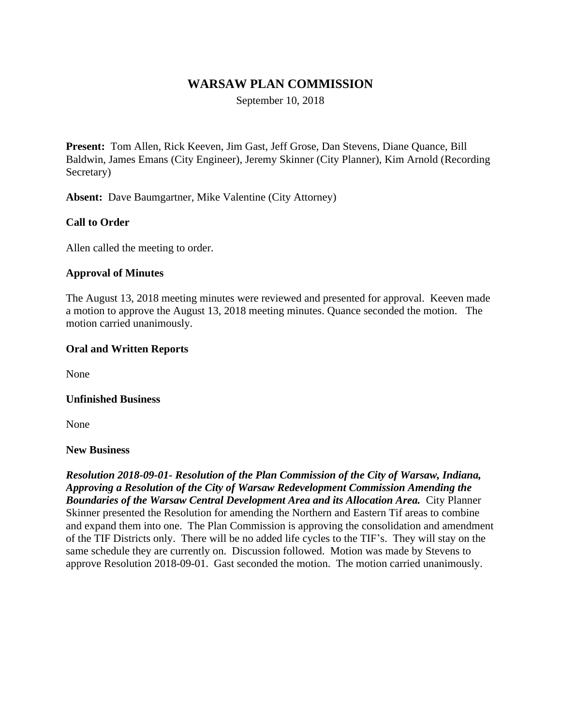# **WARSAW PLAN COMMISSION**

September 10, 2018

**Present:** Tom Allen, Rick Keeven, Jim Gast, Jeff Grose, Dan Stevens, Diane Quance, Bill Baldwin, James Emans (City Engineer), Jeremy Skinner (City Planner), Kim Arnold (Recording Secretary)

**Absent:** Dave Baumgartner, Mike Valentine (City Attorney)

## **Call to Order**

Allen called the meeting to order.

#### **Approval of Minutes**

The August 13, 2018 meeting minutes were reviewed and presented for approval. Keeven made a motion to approve the August 13, 2018 meeting minutes. Quance seconded the motion. The motion carried unanimously.

#### **Oral and Written Reports**

None

#### **Unfinished Business**

None

#### **New Business**

*Resolution 2018-09-01- Resolution of the Plan Commission of the City of Warsaw, Indiana, Approving a Resolution of the City of Warsaw Redevelopment Commission Amending the Boundaries of the Warsaw Central Development Area and its Allocation Area.* City Planner Skinner presented the Resolution for amending the Northern and Eastern Tif areas to combine and expand them into one. The Plan Commission is approving the consolidation and amendment of the TIF Districts only. There will be no added life cycles to the TIF's. They will stay on the same schedule they are currently on. Discussion followed. Motion was made by Stevens to approve Resolution 2018-09-01. Gast seconded the motion. The motion carried unanimously.